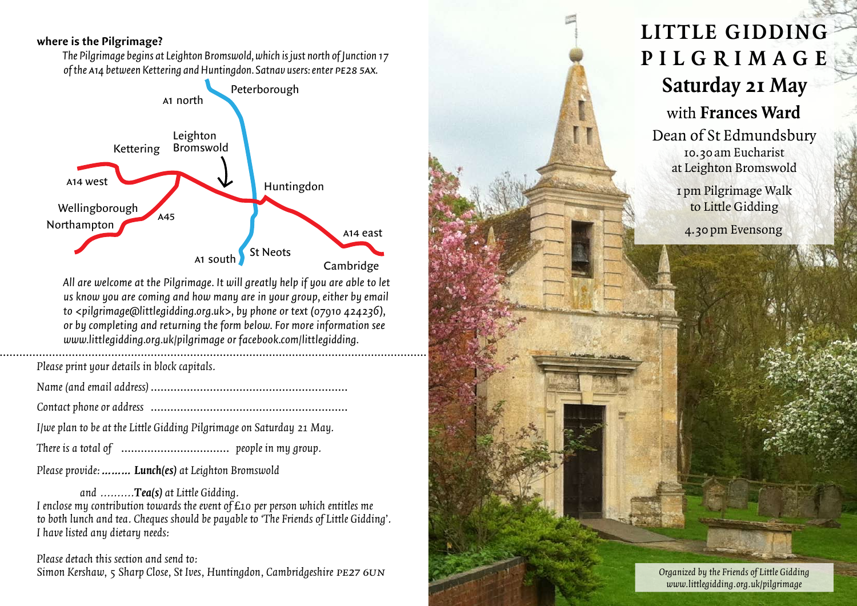#### **where is the Pilgrimage?**

*The Pilgrimage begins at Leighton Bromswold, which is just north of Junction 17 of the* a*14 between Kettering and Huntingdon. Satnav users: enter* pe28 5ax*.*



*All are welcome at the Pilgrimage. It will greatly help if you are able to let us know you are coming and how many are in your group, either by email to <pilgrimage@littlegidding.org.uk>, by phone or text (07910 424236), or by completing and returning the form below. For more information see www.littlegidding.org.uk/pilgrimage or facebook.com/littlegidding.*

*Please print your details in block capitals.*

- *Name (and email address)* ……………………………………………………
- *Contact phone or address* ……………………………………………………
- *I/we plan to be at the Little Gidding Pilgrimage on Saturday 21 May.*
- *There is a total of* …………………………… *people in my group.*

*Please provide:……… Lunch(es) at Leighton Bromswold*

*and ..........Tea(s) at Little Gidding. I enclose my contribution towards the event of £10 per person which entitles me to both lunch and tea. Cheques should be payable to 'The Friends of Little Gidding'. I have listed any dietary needs:*

*Please detach this section and send to: Simon Kershaw, 5 Sharp Close, St Ives, Huntingdon, Cambridgeshire* pe27 6un